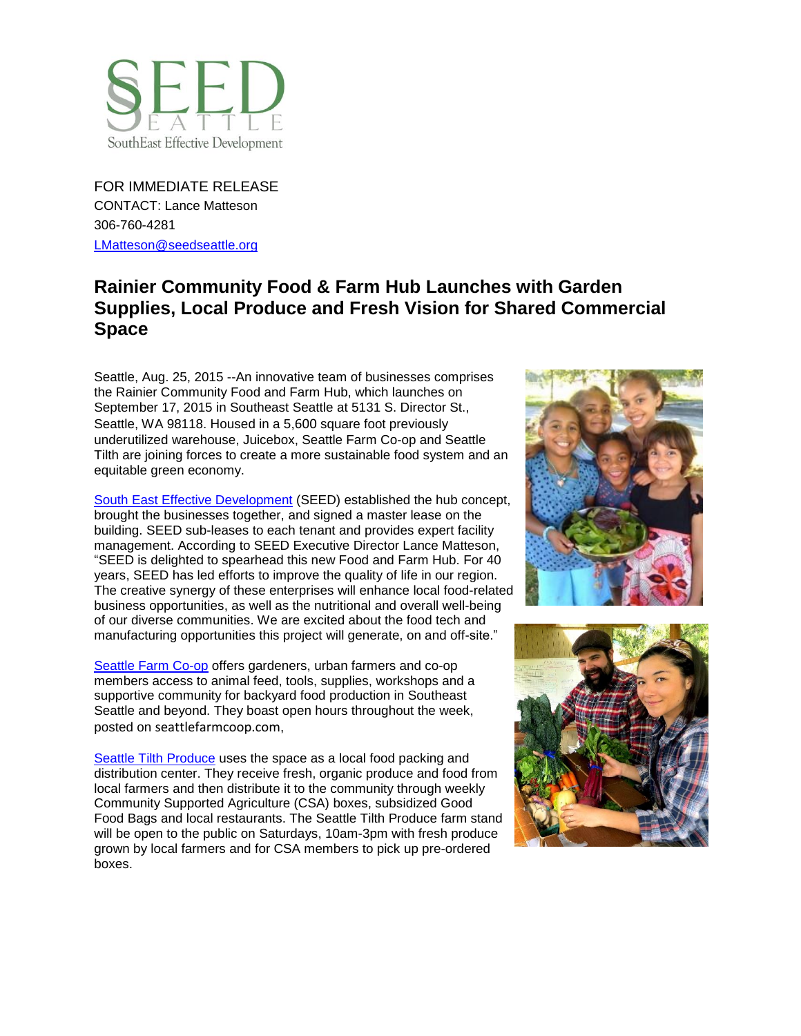

FOR IMMEDIATE RELEASE CONTACT: Lance Matteson 306-760-4281 [LMatteson@seedseattle.org](mailto:LMatteson@seedseattle.org)

## **Rainier Community Food & Farm Hub Launches with Garden Supplies, Local Produce and Fresh Vision for Shared Commercial Space**

Seattle, Aug. 25, 2015 --An innovative team of businesses comprises the Rainier Community Food and Farm Hub, which launches on September 17, 2015 in Southeast Seattle at 5131 S. Director St., Seattle, WA 98118. Housed in a 5,600 square foot previously underutilized warehouse, Juicebox, Seattle Farm Co-op and Seattle Tilth are joining forces to create a more sustainable food system and an equitable green economy.

South [East Effective Development](http://www.seedseattle.org/) (SEED) established the hub concept, brought the businesses together, and signed a master lease on the building. SEED sub-leases to each tenant and provides expert facility management. According to SEED Executive Director Lance Matteson, "SEED is delighted to spearhead this new Food and Farm Hub. For 40 years, SEED has led efforts to improve the quality of life in our region. The creative synergy of these enterprises will enhance local food-related business opportunities, as well as the nutritional and overall well-being of our diverse communities. We are excited about the food tech and manufacturing opportunities this project will generate, on and off-site."

[Seattle Farm Co-op](http://www.seattlefarmcoop.com/) offers gardeners, urban farmers and co-op members access to animal feed, tools, supplies, workshops and a supportive community for backyard food production in Southeast Seattle and beyond. They boast open hours throughout the week, posted on seattlefarmcoop.com,

[Seattle Tilth Produce](http://seattletilth.org/about/stproduce) uses the space as a local food packing and distribution center. They receive fresh, organic produce and food from local farmers and then distribute it to the community through weekly Community Supported Agriculture (CSA) boxes, subsidized Good Food Bags and local restaurants. The Seattle Tilth Produce farm stand will be open to the public on Saturdays, 10am-3pm with fresh produce grown by local farmers and for CSA members to pick up pre-ordered boxes.